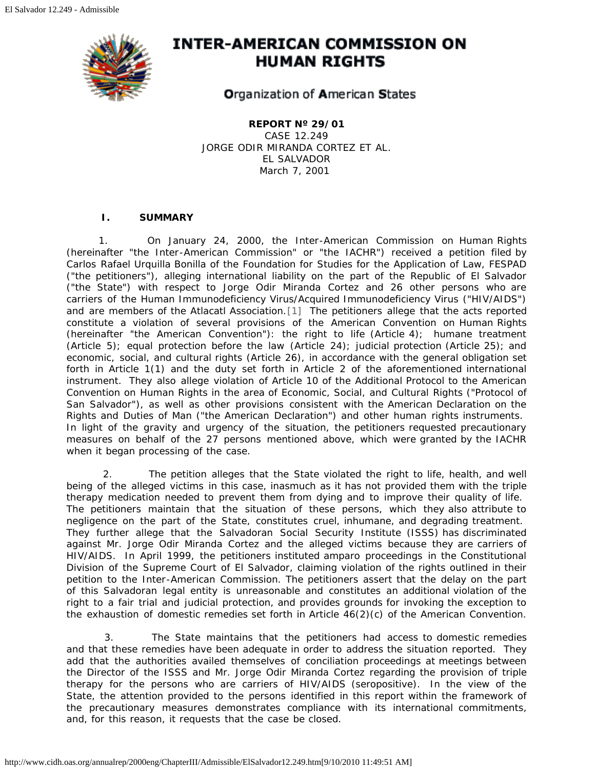

# **INTER-AMERICAN COMMISSION ON HUMAN RIGHTS**

**Organization of American States** 

**REPORT Nº 29/01** CASE 12.249 JORGE ODIR MIRANDA CORTEZ *ET AL.* EL SALVADOR March 7, 2001

# **I. SUMMARY**

<span id="page-0-0"></span>1. On January 24, 2000, the Inter-American Commission on Human Rights (hereinafter "the Inter-American Commission" or "the IACHR") received a petition filed by Carlos Rafael Urquilla Bonilla of the Foundation for Studies for the Application of Law, FESPAD ("the petitioners"), alleging international liability on the part of the Republic of El Salvador ("the State") with respect to Jorge Odir Miranda Cortez and 26 other persons who are carriers of the Human Immunodeficiency Virus/Acquired Immunodeficiency Virus ("HIV/AIDS") and are members of the Atlacatl Association.[\[1\]](#page-7-0) The petitioners allege that the acts reported constitute a violation of several provisions of the American Convention on Human Rights (hereinafter "the American Convention"): the right to life (Article 4); humane treatment (Article 5); equal protection before the law (Article 24); judicial protection (Article 25); and economic, social, and cultural rights (Article 26), in accordance with the general obligation set forth in Article 1(1) and the duty set forth in Article 2 of the aforementioned international instrument. They also allege violation of Article 10 of the Additional Protocol to the American Convention on Human Rights in the area of Economic, Social, and Cultural Rights ("Protocol of San Salvador"), as well as other provisions consistent with the American Declaration on the Rights and Duties of Man ("the American Declaration") and other human rights instruments. In light of the gravity and urgency of the situation, the petitioners requested precautionary measures on behalf of the 27 persons mentioned above, which were granted by the IACHR when it began processing of the case.

 2. The petition alleges that the State violated the right to life, health, and well being of the alleged victims in this case, inasmuch as it has not provided them with the triple therapy medication needed to prevent them from dying and to improve their quality of life. The petitioners maintain that the situation of these persons, which they also attribute to negligence on the part of the State, constitutes cruel, inhumane, and degrading treatment. They further allege that the Salvadoran Social Security Institute (ISSS) has discriminated against Mr. Jorge Odir Miranda Cortez and the alleged victims because they are carriers of HIV/AIDS. In April 1999, the petitioners instituted *amparo* proceedings in the Constitutional Division of the Supreme Court of El Salvador, claiming violation of the rights outlined in their petition to the Inter-American Commission. The petitioners assert that the delay on the part of this Salvadoran legal entity is unreasonable and constitutes an additional violation of the right to a fair trial and judicial protection, and provides grounds for invoking the exception to the exhaustion of domestic remedies set forth in Article 46(2)(c) of the American Convention.

 3. The State maintains that the petitioners had access to domestic remedies and that these remedies have been adequate in order to address the situation reported. They add that the authorities availed themselves of conciliation proceedings at meetings between the Director of the ISSS and Mr. Jorge Odir Miranda Cortez regarding the provision of triple therapy for the persons who are carriers of HIV/AIDS (seropositive). In the view of the State, the attention provided to the persons identified in this report within the framework of the precautionary measures demonstrates compliance with its international commitments, and, for this reason, it requests that the case be closed.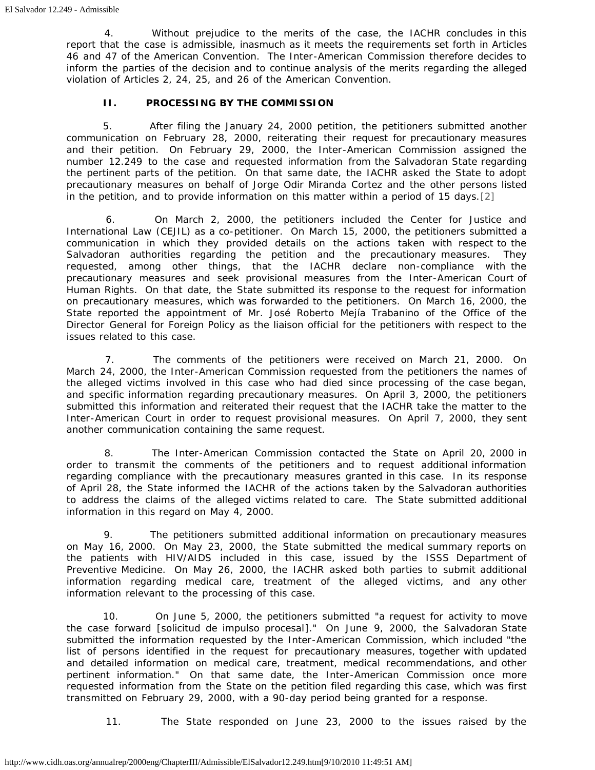4. Without prejudice to the merits of the case, the IACHR concludes in this report that the case is admissible, inasmuch as it meets the requirements set forth in Articles 46 and 47 of the American Convention. The Inter-American Commission therefore decides to inform the parties of the decision and to continue analysis of the merits regarding the alleged violation of Articles 2, 24, 25, and 26 of the American Convention.

## **II. PROCESSING BY THE COMMISSION**

 5. After filing the January 24, 2000 petition, the petitioners submitted another communication on February 28, 2000, reiterating their request for precautionary measures and their petition. On February 29, 2000, the Inter-American Commission assigned the number 12.249 to the case and requested information from the Salvadoran State regarding the pertinent parts of the petition. On that same date, the IACHR asked the State to adopt precautionary measures on behalf of Jorge Odir Miranda Cortez and the other persons listed in the petition, and to provide information on this matter within a period of 15 days.[\[2\]](#page-7-1)

<span id="page-1-0"></span> 6. On March 2, 2000, the petitioners included the Center for Justice and International Law (CEJIL) as a co-petitioner. On March 15, 2000, the petitioners submitted a communication in which they provided details on the actions taken with respect to the Salvadoran authorities regarding the petition and the precautionary measures. They requested, among other things, that the IACHR declare non-compliance with the precautionary measures and seek provisional measures from the Inter-American Court of Human Rights. On that date, the State submitted its response to the request for information on precautionary measures, which was forwarded to the petitioners. On March 16, 2000, the State reported the appointment of Mr. José Roberto Mejía Trabanino of the Office of the Director General for Foreign Policy as the liaison official for the petitioners with respect to the issues related to this case.

 7. The comments of the petitioners were received on March 21, 2000. On March 24, 2000, the Inter-American Commission requested from the petitioners the names of the alleged victims involved in this case who had died since processing of the case began, and specific information regarding precautionary measures. On April 3, 2000, the petitioners submitted this information and reiterated their request that the IACHR take the matter to the Inter-American Court in order to request provisional measures. On April 7, 2000, they sent another communication containing the same request.

 8. The Inter-American Commission contacted the State on April 20, 2000 in order to transmit the comments of the petitioners and to request additional information regarding compliance with the precautionary measures granted in this case. In its response of April 28, the State informed the IACHR of the actions taken by the Salvadoran authorities to address the claims of the alleged victims related to care. The State submitted additional information in this regard on May 4, 2000.

 9. The petitioners submitted additional information on precautionary measures on May 16, 2000. On May 23, 2000, the State submitted the medical summary reports on the patients with HIV/AIDS included in this case, issued by the ISSS Department of Preventive Medicine. On May 26, 2000, the IACHR asked both parties to submit additional information regarding medical care, treatment of the alleged victims, and any other information relevant to the processing of this case.

 10. On June 5, 2000, the petitioners submitted "a request for activity to move the case forward [*solicitud de impulso procesal*]." On June 9, 2000, the Salvadoran State submitted the information requested by the Inter-American Commission, which included "the list of persons identified in the request for precautionary measures, together with updated and detailed information on medical care, treatment, medical recommendations, and other pertinent information." On that same date, the Inter-American Commission once more requested information from the State on the petition filed regarding this case, which was first transmitted on February 29, 2000, with a 90-day period being granted for a response.

11. The State responded on June 23, 2000 to the issues raised by the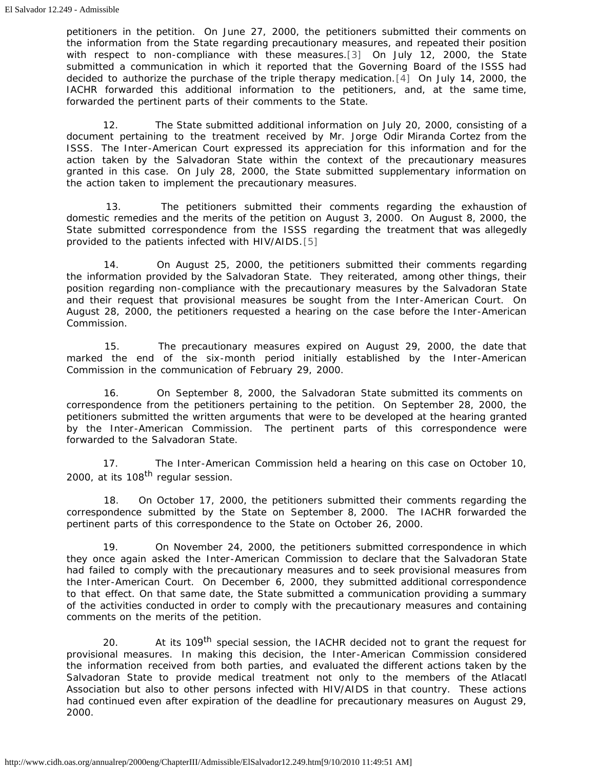<span id="page-2-1"></span><span id="page-2-0"></span>petitioners in the petition. On June 27, 2000, the petitioners submitted their comments on the information from the State regarding precautionary measures, and repeated their position with respect to non-compliance with these measures[.\[3\]](#page-7-2) On July 12, 2000, the State submitted a communication in which it reported that the Governing Board of the ISSS had decided to authorize the purchase of the triple therapy medication.[\[4\]](#page-7-3) On July 14, 2000, the IACHR forwarded this additional information to the petitioners, and, at the same time, forwarded the pertinent parts of their comments to the State.

 12. The State submitted additional information on July 20, 2000, consisting of a document pertaining to the treatment received by Mr. Jorge Odir Miranda Cortez from the ISSS. The Inter-American Court expressed its appreciation for this information and for the action taken by the Salvadoran State within the context of the precautionary measures granted in this case. On July 28, 2000, the State submitted supplementary information on the action taken to implement the precautionary measures.

 13. The petitioners submitted their comments regarding the exhaustion of domestic remedies and the merits of the petition on August 3, 2000. On August 8, 2000, the State submitted correspondence from the ISSS regarding the treatment that was allegedly provided to the patients infected with HIV/AIDS.[\[5\]](#page-8-0)

<span id="page-2-2"></span> 14. On August 25, 2000, the petitioners submitted their comments regarding the information provided by the Salvadoran State. They reiterated, among other things, their position regarding non-compliance with the precautionary measures by the Salvadoran State and their request that provisional measures be sought from the Inter-American Court. On August 28, 2000, the petitioners requested a hearing on the case before the Inter-American Commission.

 15. The precautionary measures expired on August 29, 2000, the date that marked the end of the six-month period initially established by the Inter-American Commission in the communication of February 29, 2000.

 16. On September 8, 2000, the Salvadoran State submitted its comments on correspondence from the petitioners pertaining to the petition. On September 28, 2000, the petitioners submitted the written arguments that were to be developed at the hearing granted by the Inter-American Commission. The pertinent parts of this correspondence were forwarded to the Salvadoran State.

 17. The Inter-American Commission held a hearing on this case on October 10, 2000, at its 108<sup>th</sup> regular session.

 18. On October 17, 2000, the petitioners submitted their comments regarding the correspondence submitted by the State on September 8, 2000. The IACHR forwarded the pertinent parts of this correspondence to the State on October 26, 2000.

 19. On November 24, 2000, the petitioners submitted correspondence in which they once again asked the Inter-American Commission to declare that the Salvadoran State had failed to comply with the precautionary measures and to seek provisional measures from the Inter-American Court. On December 6, 2000, they submitted additional correspondence to that effect. On that same date, the State submitted a communication providing a summary of the activities conducted in order to comply with the precautionary measures and containing comments on the merits of the petition.

20. At its 109<sup>th</sup> special session, the IACHR decided not to grant the request for provisional measures. In making this decision, the Inter-American Commission considered the information received from both parties, and evaluated the different actions taken by the Salvadoran State to provide medical treatment not only to the members of the Atlacatl Association but also to other persons infected with HIV/AIDS in that country. These actions had continued even after expiration of the deadline for precautionary measures on August 29, 2000.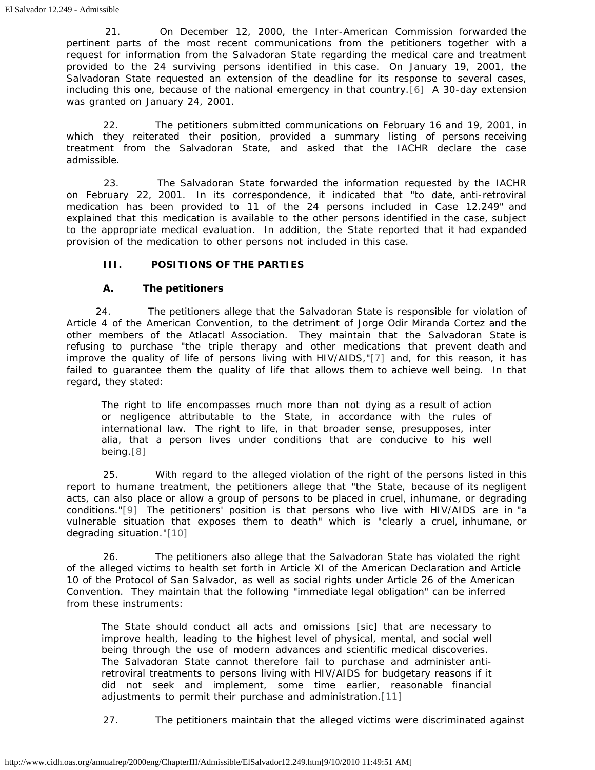21. On December 12, 2000, the Inter-American Commission forwarded the pertinent parts of the most recent communications from the petitioners together with a request for information from the Salvadoran State regarding the medical care and treatment provided to the 24 surviving persons identified in this case. On January 19, 2001, the Salvadoran State requested an extension of the deadline for its response to several cases, including this one, because of the national emergency in that country.[\[6\]](#page-8-1) A 30-day extension was granted on January 24, 2001.

<span id="page-3-0"></span> 22. The petitioners submitted communications on February 16 and 19, 2001, in which they reiterated their position, provided a summary listing of persons receiving treatment from the Salvadoran State, and asked that the IACHR declare the case admissible.

 23. The Salvadoran State forwarded the information requested by the IACHR on February 22, 2001. In its correspondence, it indicated that "to date, anti-retroviral medication has been provided to 11 of the 24 persons included in Case 12.249" and explained that this medication is available to the other persons identified in the case, subject to the appropriate medical evaluation. In addition, the State reported that it had expanded provision of the medication to other persons not included in this case.

# **III. POSITIONS OF THE PARTIES**

### **A. The petitioners**

<span id="page-3-1"></span>24. The petitioners allege that the Salvadoran State is responsible for violation of Article 4 of the American Convention, to the detriment of Jorge Odir Miranda Cortez and the other members of the Atlacatl Association. They maintain that the Salvadoran State is refusing to purchase "the triple therapy and other medications that prevent death and improve the quality of life of persons living with HIV/AIDS,["\[7\]](#page-8-2) and, for this reason, it has failed to guarantee them the quality of life that allows them to achieve well being. In that regard, they stated:

The right to life encompasses much more than not dying as a result of action or negligence attributable to the State, in accordance with the rules of international law. The right to life, in that broader sense, presupposes, *inter alia*, that a person lives under conditions that are conducive to his well being[.\[8\]](#page-8-3)

<span id="page-3-3"></span><span id="page-3-2"></span> 25. With regard to the alleged violation of the right of the persons listed in this report to humane treatment, the petitioners allege that "the State, because of its negligent acts, can also place or allow a group of persons to be placed in cruel, inhumane, or degrading conditions.["\[9\]](#page-8-4) The petitioners' position is that persons who live with HIV/AIDS are in "a vulnerable situation that exposes them to death" which is "clearly a cruel, inhumane, or degrading situation.["\[10\]](#page-8-5)

<span id="page-3-4"></span> 26. The petitioners also allege that the Salvadoran State has violated the right of the alleged victims to health set forth in Article XI of the American Declaration and Article 10 of the Protocol of San Salvador, as well as social rights under Article 26 of the American Convention. They maintain that the following "immediate legal obligation" can be inferred from these instruments:

The State should conduct all acts and omissions [sic] that are necessary to improve health, leading to the highest level of physical, mental, and social well being through the use of modern advances and scientific medical discoveries. The Salvadoran State cannot therefore fail to purchase and administer antiretroviral treatments to persons living with HIV/AIDS for budgetary reasons if it did not seek and implement, some time earlier, reasonable financial adjustments to permit their purchase and administration.[\[11\]](#page-8-6)

<span id="page-3-5"></span>27. The petitioners maintain that the alleged victims were discriminated against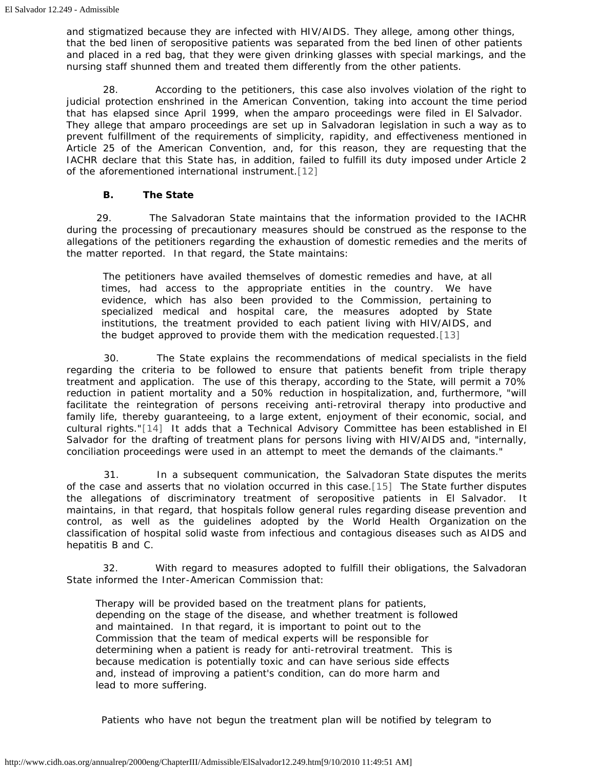and stigmatized because they are infected with HIV/AIDS. They allege, among other things, that the bed linen of seropositive patients was separated from the bed linen of other patients and placed in a red bag, that they were given drinking glasses with special markings, and the nursing staff shunned them and treated them differently from the other patients.

 28. According to the petitioners, this case also involves violation of the right to judicial protection enshrined in the American Convention, taking into account the time period that has elapsed since April 1999, when the *amparo* proceedings were filed in El Salvador. They allege that *amparo* proceedings are set up in Salvadoran legislation in such a way as to prevent fulfillment of the requirements of simplicity, rapidity, and effectiveness mentioned in Article 25 of the American Convention, and, for this reason, they are requesting that the IACHR declare that this State has, in addition, failed to fulfill its duty imposed under Article 2 of the aforementioned international instrument[.\[12\]](#page-8-7)

### **B. The State**

<span id="page-4-0"></span>29. The Salvadoran State maintains that the information provided to the IACHR during the processing of precautionary measures should be construed as the response to the allegations of the petitioners regarding the exhaustion of domestic remedies and the merits of the matter reported. In that regard, the State maintains:

 The petitioners have availed themselves of domestic remedies and have, at all times, had access to the appropriate entities in the country. We have evidence, which has also been provided to the Commission, pertaining to specialized medical and hospital care, the measures adopted by State institutions, the treatment provided to each patient living with HIV/AIDS, and the budget approved to provide them with the medication requested.[\[13\]](#page-8-8)

<span id="page-4-1"></span> 30. The State explains the recommendations of medical specialists in the field regarding the criteria to be followed to ensure that patients benefit from triple therapy treatment and application. The use of this therapy, according to the State, will permit a 70% reduction in patient mortality and a 50% reduction in hospitalization, and, furthermore, "will facilitate the reintegration of persons receiving anti-retroviral therapy into productive and family life, thereby guaranteeing, to a large extent, enjoyment of their economic, social, and cultural rights."[\[14\]](#page-8-9) It adds that a Technical Advisory Committee has been established in El Salvador for the drafting of treatment plans for persons living with HIV/AIDS and, "internally, conciliation proceedings were used in an attempt to meet the demands of the claimants."

<span id="page-4-3"></span><span id="page-4-2"></span> 31. In a subsequent communication, the Salvadoran State disputes the merits of the case and asserts that no violation occurred in this case.[\[15\]](#page-8-10) The State further disputes the allegations of discriminatory treatment of seropositive patients in El Salvador. It maintains, in that regard, that hospitals follow general rules regarding disease prevention and control, as well as the guidelines adopted by the World Health Organization on the classification of hospital solid waste from infectious and contagious diseases such as AIDS and hepatitis B and C.

 32. With regard to measures adopted to fulfill their obligations, the Salvadoran State informed the Inter-American Commission that:

Therapy will be provided based on the treatment plans for patients, depending on the stage of the disease, and whether treatment is followed and maintained. In that regard, it is important to point out to the Commission that the team of medical experts will be responsible for determining when a patient is ready for anti-retroviral treatment. This is because medication is potentially toxic and can have serious side effects and, instead of improving a patient's condition, can do more harm and lead to more suffering.

Patients who have not begun the treatment plan will be notified by telegram to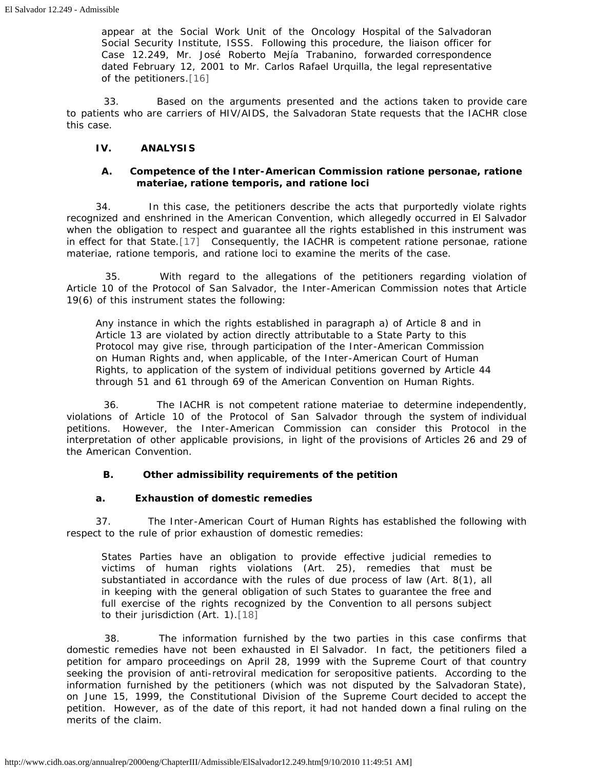appear at the Social Work Unit of the Oncology Hospital of the Salvadoran Social Security Institute, ISSS. Following this procedure, the liaison officer for Case 12.249, Mr. José Roberto Mejía Trabanino, forwarded correspondence dated February 12, 2001 to Mr. Carlos Rafael Urquilla, the legal representative of the petitioners.[\[16\]](#page-8-11)

<span id="page-5-0"></span> 33. Based on the arguments presented and the actions taken to provide care to patients who are carriers of HIV/AIDS, the Salvadoran State requests that the IACHR close this case.

#### **IV. ANALYSIS**

## **A. Competence of the Inter-American Commission** *ratione personae, ratione materiae, ratione temporis,* **and** *ratione loci*

<span id="page-5-1"></span>34. In this case, the petitioners describe the acts that purportedly violate rights recognized and enshrined in the American Convention, which allegedly occurred in El Salvador when the obligation to respect and guarantee all the rights established in this instrument was in effect for that State.[\[17\]](#page-8-12) Consequently, the IACHR is competent *ratione personae, ratione materiae, ratione temporis,* and *ratione loci* to examine the merits of the case.

 35. With regard to the allegations of the petitioners regarding violation of Article 10 of the Protocol of San Salvador, the Inter-American Commission notes that Article 19(6) of this instrument states the following:

Any instance in which the rights established in paragraph a) of Article 8 and in Article 13 are violated by action directly attributable to a State Party to this Protocol may give rise, through participation of the Inter-American Commission on Human Rights and, when applicable, of the Inter-American Court of Human Rights, to application of the system of individual petitions governed by Article 44 through 51 and 61 through 69 of the American Convention on Human Rights.

 36. The IACHR is not competent *ratione materiae* to determine independently, violations of Article 10 of the Protocol of San Salvador through the system of individual petitions. However, the Inter-American Commission can consider this Protocol in the interpretation of other applicable provisions, in light of the provisions of Articles 26 and 29 of the American Convention.

# **B. Other admissibility requirements of the petition**

#### **a. Exhaustion of domestic remedies**

37. The Inter-American Court of Human Rights has established the following with respect to the rule of prior exhaustion of domestic remedies:

States Parties have an obligation to provide effective judicial remedies to victims of human rights violations (Art. 25), remedies that must be substantiated in accordance with the rules of due process of law (Art. 8(1), all in keeping with the general obligation of such States to guarantee the free and full exercise of the rights recognized by the Convention to all persons subject to their jurisdiction (Art. 1).[\[18\]](#page-8-13)

<span id="page-5-2"></span> 38. The information furnished by the two parties in this case confirms that domestic remedies have not been exhausted in El Salvador. In fact, the petitioners filed a petition for *amparo* proceedings on April 28, 1999 with the Supreme Court of that country seeking the provision of anti-retroviral medication for seropositive patients. According to the information furnished by the petitioners (which was not disputed by the Salvadoran State), on June 15, 1999, the Constitutional Division of the Supreme Court decided to accept the petition. However, as of the date of this report, it had not handed down a final ruling on the merits of the claim.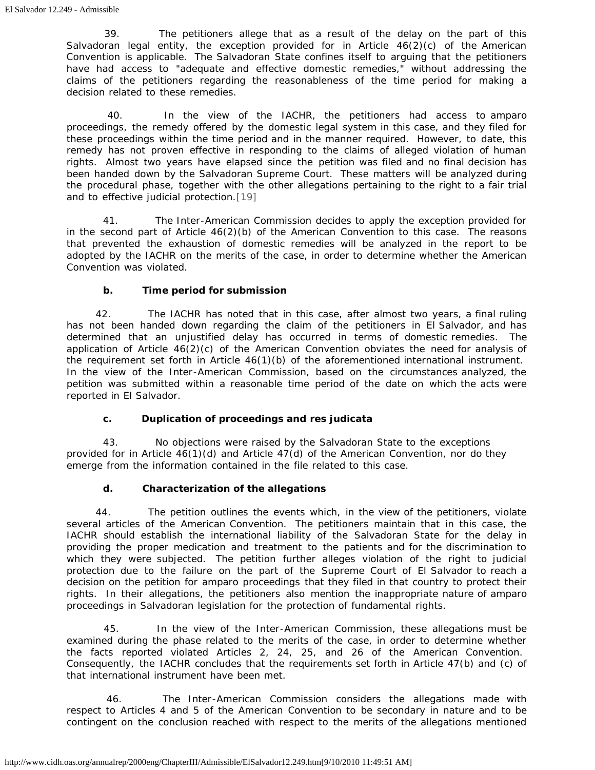39. The petitioners allege that as a result of the delay on the part of this Salvadoran legal entity, the exception provided for in Article 46(2)(c) of the American Convention is applicable. The Salvadoran State confines itself to arguing that the petitioners have had access to "adequate and effective domestic remedies," without addressing the claims of the petitioners regarding the reasonableness of the time period for making a decision related to these remedies.

 40. In the view of the IACHR, the petitioners had access to *amparo* proceedings, the remedy offered by the domestic legal system in this case, and they filed for these proceedings within the time period and in the manner required. However, to date, this remedy has not proven effective in responding to the claims of alleged violation of human rights. Almost two years have elapsed since the petition was filed and no final decision has been handed down by the Salvadoran Supreme Court. These matters will be analyzed during the procedural phase, together with the other allegations pertaining to the right to a fair trial and to effective judicial protection[.\[19\]](#page-8-14)

<span id="page-6-0"></span> 41. The Inter-American Commission decides to apply the exception provided for in the second part of Article  $46(2)(b)$  of the American Convention to this case. The reasons that prevented the exhaustion of domestic remedies will be analyzed in the report to be adopted by the IACHR on the merits of the case, in order to determine whether the American Convention was violated.

# **b. Time period for submission**

42. The IACHR has noted that in this case, after almost two years, a final ruling has not been handed down regarding the claim of the petitioners in El Salvador, and has determined that an unjustified delay has occurred in terms of domestic remedies. The application of Article 46(2)(c) of the American Convention obviates the need for analysis of the requirement set forth in Article 46(1)(b) of the aforementioned international instrument. In the view of the Inter-American Commission, based on the circumstances analyzed, the petition was submitted within a reasonable time period of the date on which the acts were reported in El Salvador.

# **c. Duplication of proceedings and** *res judicata*

 43. No objections were raised by the Salvadoran State to the exceptions provided for in Article 46(1)(d) and Article 47(d) of the American Convention, nor do they emerge from the information contained in the file related to this case.

# **d. Characterization of the allegations**

44. The petition outlines the events which, in the view of the petitioners, violate several articles of the American Convention. The petitioners maintain that in this case, the IACHR should establish the international liability of the Salvadoran State for the delay in providing the proper medication and treatment to the patients and for the discrimination to which they were subjected. The petition further alleges violation of the right to judicial protection due to the failure on the part of the Supreme Court of El Salvador to reach a decision on the petition for *amparo* proceedings that they filed in that country to protect their rights. In their allegations, the petitioners also mention the inappropriate nature of *amparo* proceedings in Salvadoran legislation for the protection of fundamental rights.

45. In the view of the Inter-American Commission, these allegations must be examined during the phase related to the merits of the case, in order to determine whether the facts reported violated Articles 2, 24, 25, and 26 of the American Convention. Consequently, the IACHR concludes that the requirements set forth in Article 47(b) and (c) of that international instrument have been met.

 46. The Inter-American Commission considers the allegations made with respect to Articles 4 and 5 of the American Convention to be secondary in nature and to be contingent on the conclusion reached with respect to the merits of the allegations mentioned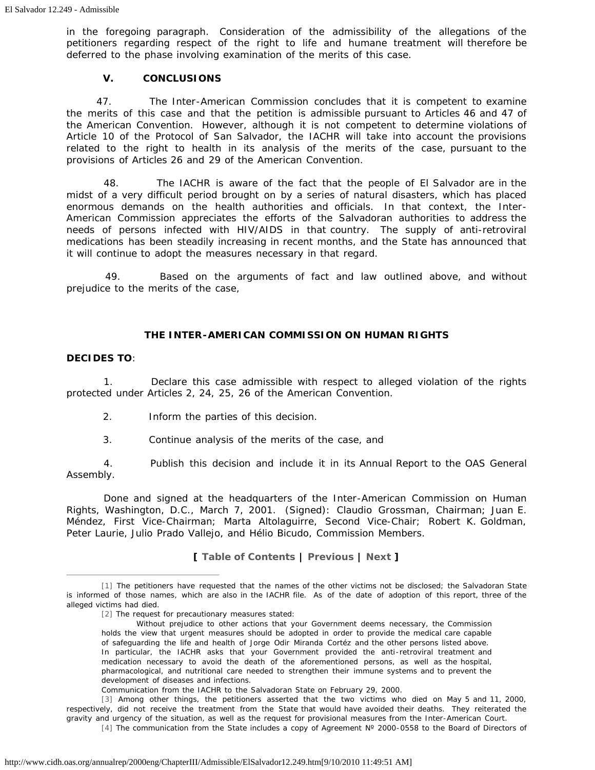in the foregoing paragraph. Consideration of the admissibility of the allegations of the petitioners regarding respect of the right to life and humane treatment will therefore be deferred to the phase involving examination of the merits of this case.

#### **V. CONCLUSIONS**

47. The Inter-American Commission concludes that it is competent to examine the merits of this case and that the petition is admissible pursuant to Articles 46 and 47 of the American Convention. However, although it is not competent to determine violations of Article 10 of the Protocol of San Salvador, the IACHR will take into account the provisions related to the right to health in its analysis of the merits of the case, pursuant to the provisions of Articles 26 and 29 of the American Convention.

 48. The IACHR is aware of the fact that the people of El Salvador are in the midst of a very difficult period brought on by a series of natural disasters, which has placed enormous demands on the health authorities and officials. In that context, the Inter-American Commission appreciates the efforts of the Salvadoran authorities to address the needs of persons infected with HIV/AIDS in that country. The supply of anti-retroviral medications has been steadily increasing in recent months, and the State has announced that it will continue to adopt the measures necessary in that regard.

 49. Based on the arguments of fact and law outlined above, and without prejudice to the merits of the case,

#### **THE INTER-AMERICAN COMMISSION ON HUMAN RIGHTS**

#### **DECIDES TO**:

 1. Declare this case admissible with respect to alleged violation of the rights protected under Articles 2, 24, 25, 26 of the American Convention.

- 2. Inform the parties of this decision.
- 3. Continue analysis of the merits of the case, and

 4. Publish this decision and include it in its Annual Report to the OAS General Assembly.

 Done and signed at the headquarters of the Inter-American Commission on Human Rights, Washington, D.C., March 7, 2001. (Signed): Claudio Grossman, Chairman; Juan E. Méndez, First Vice-Chairman; Marta Altolaguirre, Second Vice-Chair; Robert K. Goldman, Peter Laurie, Julio Prado Vallejo, and Hélio Bicudo, Commission Members.

**[ [Table of Contents](http://www.cidh.org/annualrep/2000eng/TOC.htm) | [Previous](http://www.cidh.oas.org/annualrep/2000eng/ChapterIII/Admissible/ElSalvador12.132.htm) | [Next](http://www.cidh.oas.org/annualrep/2000eng/ChapterIII/Admissible/Haiti11.335.htm) ]**

<span id="page-7-1"></span><span id="page-7-0"></span>[<sup>\[1\]</sup>](#page-0-0) The petitioners have requested that the names of the other victims not be disclosed; the Salvadoran State is informed of those names, which are also in the IACHR file. As of the date of adoption of this report, three of the alleged victims had died.

[<sup>\[2\]</sup>](#page-1-0) The request for precautionary measures stated:

Without prejudice to other actions that your Government deems necessary, the Commission holds the view that urgent measures should be adopted in order to provide the medical care capable of safeguarding the life and health of Jorge Odir Miranda Cortéz and the other persons listed above. In particular, the IACHR asks that your Government provided the anti-retroviral treatment and medication necessary to avoid the death of the aforementioned persons, as well as the hospital, pharmacological, and nutritional care needed to strengthen their immune systems and to prevent the development of diseases and infections.

Communication from the IACHR to the Salvadoran State on February 29, 2000.

<span id="page-7-3"></span><span id="page-7-2"></span>[<sup>\[3\]</sup>](#page-2-0) Among other things, the petitioners asserted that the two victims who died on May 5 and 11, 2000, respectively, did not receive the treatment from the State that would have avoided their deaths. They reiterated the gravity and urgency of the situation, as well as the request for provisional measures from the Inter-American Court. [\[4\]](#page-2-1) The communication from the State includes a copy of Agreement N° 2000-0558 to the Board of Directors of